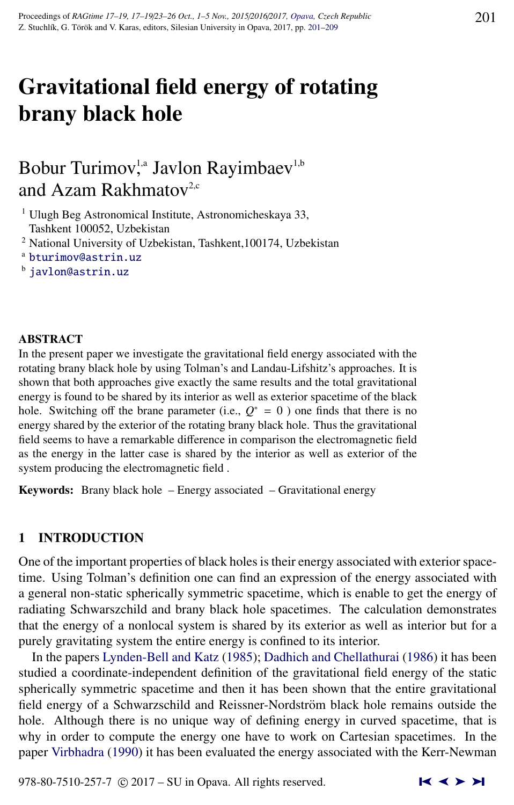# Gravitational field energy of rotating brany black hole

# Bobur Turimov,<sup>1,a</sup> Javlon Rayimbaev<sup>1,b</sup> and Azam Rakhmatov<sup>2,c</sup>

<sup>1</sup> Ulugh Beg Astronomical Institute, Astronomicheskaya 33, Tashkent 100052, Uzbekistan

<sup>2</sup> National University of Uzbekistan, Tashkent,100174, Uzbekistan

<sup>b</sup> [javlon@astrin.uz](http://www.physics.cz/ javlon@astrin.uz)

# ABSTRACT

In the present paper we investigate the gravitational field energy associated with the rotating brany black hole by using Tolman's and Landau-Lifshitz's approaches. It is shown that both approaches give exactly the same results and the total gravitational energy is found to be shared by its interior as well as exterior spacetime of the black hole. Switching off the brane parameter (i.e.,  $Q^* = 0$ ) one finds that there is no energy shared by the exterior of the rotating brany black hole. Thus the gravitational field seems to have a remarkable difference in comparison the electromagnetic field as the energy in the latter case is shared by the interior as well as exterior of the system producing the electromagnetic field .

Keywords: Brany black hole – Energy associated – Gravitational energy

# 1 INTRODUCTION

One of the important properties of black holes is their energy associated with exterior spacetime. Using Tolman's definition one can find an expression of the energy associated with a general non-static spherically symmetric spacetime, which is enable to get the energy of radiating Schwarszchild and brany black hole spacetimes. The calculation demonstrates that the energy of a nonlocal system is shared by its exterior as well as interior but for a purely gravitating system the entire energy is confined to its interior.

In the papers [Lynden-Bell and Katz](#page-8-0) [\(1985\)](#page-8-0); [Dadhich and Chellathurai](#page-7-0) [\(1986\)](#page-7-0) it has been studied a coordinate-independent definition of the gravitational field energy of the static spherically symmetric spacetime and then it has been shown that the entire gravitational field energy of a Schwarzschild and Reissner-Nordström black hole remains outside the hole. Although there is no unique way of defining energy in curved spacetime, that is why in order to compute the energy one have to work on Cartesian spacetimes. In the paper [Virbhadra](#page-8-0) [\(1990\)](#page-8-0) it has been evaluated the energy associated with the Kerr-Newman

<sup>a</sup> [bturimov@astrin.uz](http://www.physics.cz/ bturimov@astrin.uz)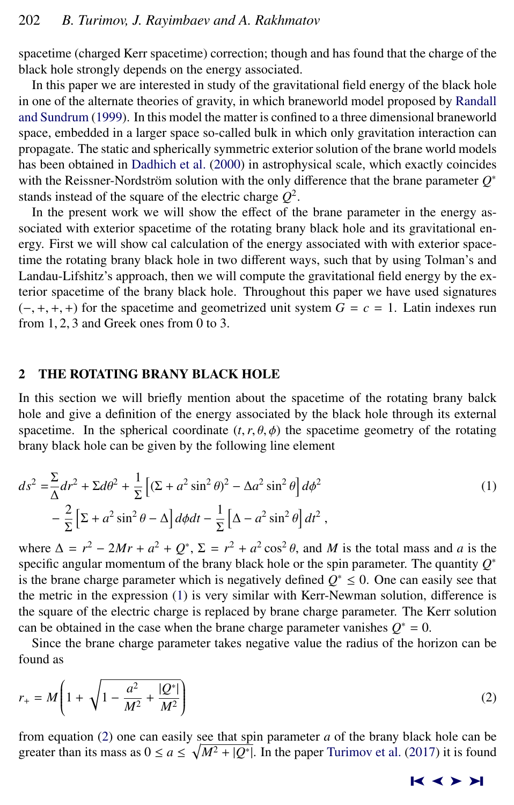<span id="page-1-0"></span>spacetime (charged Kerr spacetime) correction; though and has found that the charge of the black hole strongly depends on the energy associated.

In this paper we are interested in study of the gravitational field energy of the black hole in one of the alternate theories of gravity, in which braneworld model proposed by [Randall](#page-8-0) [and Sundrum](#page-8-0) [\(1999\)](#page-8-0). In this model the matter is confined to a three dimensional braneworld space, embedded in a larger space so-called bulk in which only gravitation interaction can propagate. The static and spherically symmetric exterior solution of the brane world models has been obtained in [Dadhich et al.](#page-7-0) [\(2000\)](#page-7-0) in astrophysical scale, which exactly coincides with the Reissner-Nordström solution with the only difference that the brane parameter  $Q^*$ stands instead of the square of the electric charge *Q* 2 .

In the present work we will show the effect of the brane parameter in the energy associated with exterior spacetime of the rotating brany black hole and its gravitational energy. First we will show cal calculation of the energy associated with with exterior spacetime the rotating brany black hole in two different ways, such that by using Tolman's and Landau-Lifshitz's approach, then we will compute the gravitational field energy by the exterior spacetime of the brany black hole. Throughout this paper we have used signatures  $(-, +, +, +)$  for the spacetime and geometrized unit system  $G = c = 1$ . Latin indexes run from 1, <sup>2</sup>, 3 and Greek ones from 0 to 3.

#### 2 THE ROTATING BRANY BLACK HOLE

In this section we will briefly mention about the spacetime of the rotating brany balck hole and give a definition of the energy associated by the black hole through its external spacetime. In the spherical coordinate  $(t, r, \theta, \phi)$  the spacetime geometry of the rotating brany black hole can be given by the following line element

$$
ds^{2} = \frac{\Sigma}{\Delta}dr^{2} + \Sigma d\theta^{2} + \frac{1}{\Sigma}\left[ (\Sigma + a^{2} \sin^{2} \theta)^{2} - \Delta a^{2} \sin^{2} \theta \right] d\phi^{2}
$$
  
- 
$$
\frac{2}{\Sigma}\left[ \Sigma + a^{2} \sin^{2} \theta - \Delta \right] d\phi dt - \frac{1}{\Sigma}\left[ \Delta - a^{2} \sin^{2} \theta \right] dt^{2},
$$
 (1)

where  $\Delta = r^2 - 2Mr + a^2 + Q^*$ ,  $\Sigma = r^2 + a^2 \cos^2 \theta$ , and *M* is the total mass and *a* is the specific appular momentum of the brany black hole or the spin parameter. The quantity  $Q^*$ specific angular momentum of the brany black hole or the spin parameter. The quantity *Q* ∗ is the brane charge parameter which is negatively defined  $Q^* \leq 0$ . One can easily see that the metric in the expression (1) is very similar with Kerr-Newman solution, difference is the square of the electric charge is replaced by brane charge parameter. The Kerr solution can be obtained in the case when the brane charge parameter vanishes  $Q^* = 0$ .

Since the brane charge parameter takes negative value the radius of the horizon can be found as

$$
r_{+} = M \left( 1 + \sqrt{1 - \frac{a^2}{M^2} + \frac{|Q^*|}{M^2}} \right) \tag{2}
$$

from equation (2) one can easily see that spin parameter *a* of the brany black hole can be greater than its mass as  $0 \le a \le \sqrt{M^2 + |Q^*|}$ . In the paper [Turimov et al.](#page-8-0) [\(2017\)](#page-8-0) it is found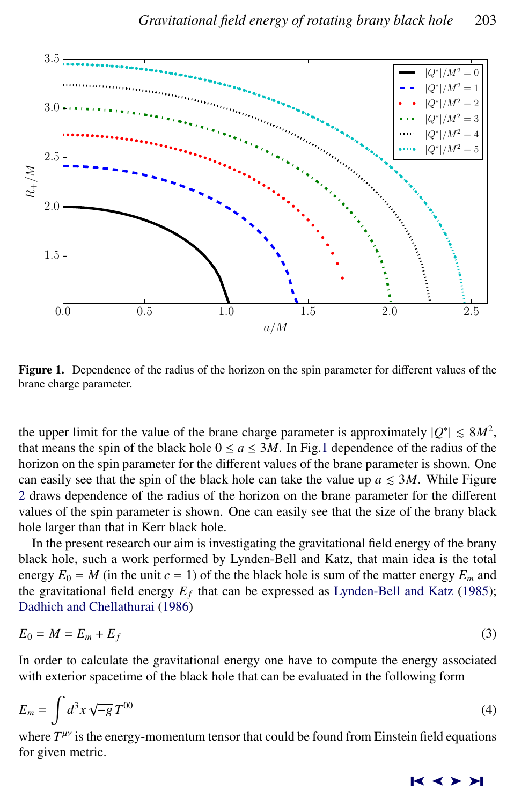<span id="page-2-0"></span>

Figure 1. Dependence of the radius of the horizon on the spin parameter for different values of the brane charge parameter.

the upper limit for the value of the brane charge parameter is approximately  $|Q^*| \leq 8M^2$ , that means the spin of the black hole  $0 \le a \le 3M$ . In Fig.1 dependence of the radius of the horizon on the spin parameter for the different values of the brane parameter is shown. One can easily see that the spin of the black hole can take the value up  $a \leq 3M$ . While Figure [2](#page-3-0) draws dependence of the radius of the horizon on the brane parameter for the different values of the spin parameter is shown. One can easily see that the size of the brany black hole larger than that in Kerr black hole.

In the present research our aim is investigating the gravitational field energy of the brany black hole, such a work performed by Lynden-Bell and Katz, that main idea is the total energy  $E_0 = M$  (in the unit  $c = 1$ ) of the the black hole is sum of the matter energy  $E_m$  and the gravitational field energy  $E_f$  that can be expressed as [Lynden-Bell and Katz](#page-8-0) [\(1985\)](#page-8-0); [Dadhich and Chellathurai](#page-7-0) [\(1986\)](#page-7-0)

$$
E_0 = M = E_m + E_f \tag{3}
$$

In order to calculate the gravitational energy one have to compute the energy associated with exterior spacetime of the black hole that can be evaluated in the following form

$$
E_m = \int d^3x \sqrt{-g} \, T^{00} \tag{4}
$$

where  $T^{\mu\nu}$  is the energy-momentum tensor that could be found from Einstein field equations for given metric.

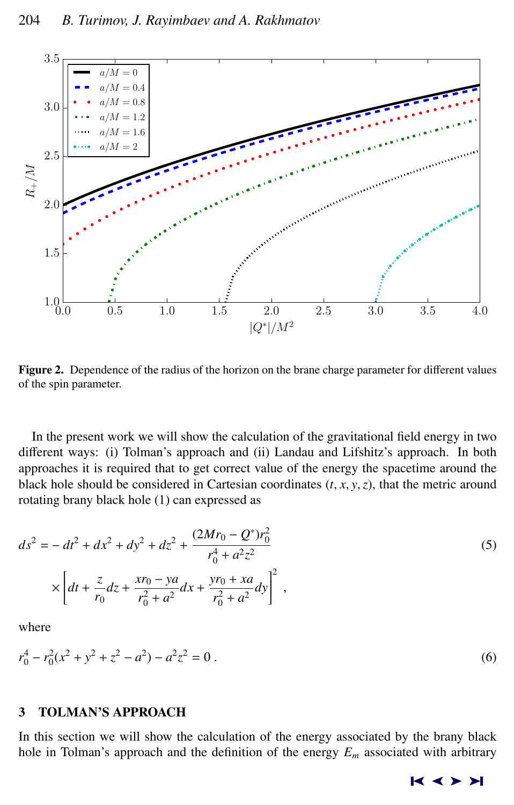<span id="page-3-0"></span>

Figure 2. Dependence of the radius of the horizon on the brane charge parameter for different values of the spin parameter.

In the present work we will show the calculation of the gravitational field energy in two different ways: (i) Tolman's approach and (ii) Landau and Lifshitz's approach. In both approaches it is required that to get correct value of the energy the spacetime around the black hole should be considered in Cartesian coordinates  $(t, x, y, z)$ , that the metric around rotating brany black hole [\(1\)](#page-1-0) can expressed as

$$
ds^{2} = -dt^{2} + dx^{2} + dy^{2} + dz^{2} + \frac{(2Mr_{0} - Q^{*})r_{0}^{2}}{r_{0}^{4} + a^{2}z^{2}} \times \left[ dt + \frac{z}{r_{0}} dz + \frac{xr_{0} - ya}{r_{0}^{2} + a^{2}} dx + \frac{yr_{0} + xa}{r_{0}^{2} + a^{2}} dy \right]^{2},
$$
\n(5)

where

$$
r_0^4 - r_0^2(x^2 + y^2 + z^2 - a^2) - a^2 z^2 = 0.
$$
 (6)

# 3 TOLMAN'S APPROACH

In this section we will show the calculation of the energy associated by the brany black hole in Tolman's approach and the definition of the energy  $E_m$  associated with arbitrary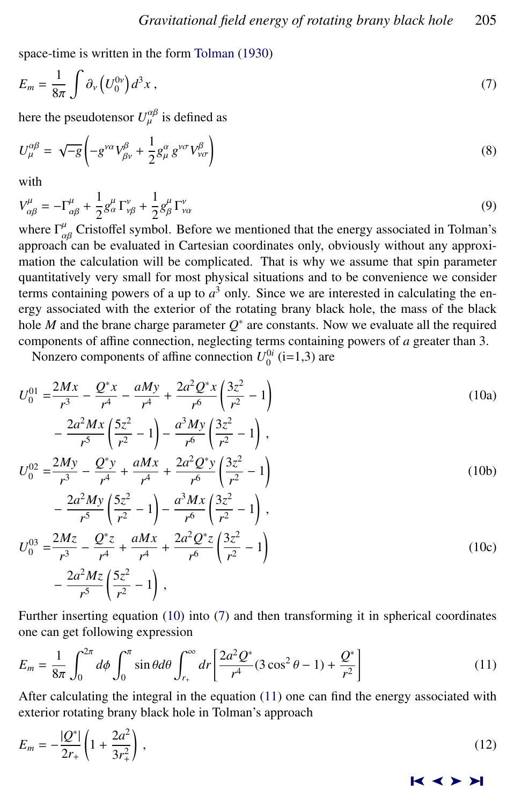<span id="page-4-0"></span>space-time is written in the form [Tolman](#page-8-0) [\(1930\)](#page-8-0)

$$
E_m = \frac{1}{8\pi} \int \partial_v \left( U_0^{0\nu} \right) d^3 x \,, \tag{7}
$$

here the pseudotensor  $U^{\alpha\beta}_{\mu}$  is defined as

$$
U_{\mu}^{\alpha\beta} = \sqrt{-g} \left( -g^{\nu\alpha} V_{\beta\nu}^{\beta} + \frac{1}{2} g_{\mu}^{\alpha} g^{\nu\sigma} V_{\nu\sigma}^{\beta} \right)
$$
 (8)

with

$$
V_{\alpha\beta}^{\mu} = -\Gamma_{\alpha\beta}^{\mu} + \frac{1}{2}g_{\alpha}^{\mu}\Gamma_{\nu\beta}^{\nu} + \frac{1}{2}g_{\beta}^{\mu}\Gamma_{\nu\alpha}^{\nu}
$$
(9)

where  $\Gamma^{\mu}_{\alpha\beta}$  Cristoffel symbol. Before we mentioned that the energy associated in Tolman's<br>approach can be evaluated in Cartesian coordinates only obviously without any approxiapproach can be evaluated in Cartesian coordinates only, obviously without any approximation the calculation will be complicated. That is why we assume that spin parameter quantitatively very small for most physical situations and to be convenience we consider terms containing powers of a up to  $a<sup>3</sup>$  only. Since we are interested in calculating the energy associated with the exterior of the rotating brany black hole, the mass of the black hole *M* and the brane charge parameter  $Q^*$  are constants. Now we evaluate all the required components of affine connection, neglecting terms containing powers of *a* greater than 3.

Nonzero components of affine connection  $U_0^{0i}$  (i=1,3) are

$$
U_0^{01} = \frac{2Mx}{r^3} - \frac{Q^*x}{r^4} - \frac{aMy}{r^4} + \frac{2a^2Q^*x}{r^6} \left(\frac{3z^2}{r^2} - 1\right)
$$
  

$$
2a^2Mx \left(5z^2\right) - a^3My \left(3z^2\right)
$$
 (10a)

$$
-\frac{2a^2Mx}{r^5}\left(\frac{5z^2}{r^2}-1\right)-\frac{a^3My}{r^6}\left(\frac{3z^2}{r^2}-1\right),
$$
  

$$
U_0^{02} = \frac{2My}{r^3} - \frac{Q^*y}{r^4} + \frac{aMx}{r^4} + \frac{2a^2Q^*y}{r^6}\left(\frac{3z^2}{r^2}-1\right)
$$
  

$$
2a^2My \left(5z^2\right) - a^3Mx \left(3z^2\right).
$$
 (10b)

$$
-\frac{2a^2My}{r^5} \left(\frac{5z^2}{r^2} - 1\right) - \frac{a^3Mx}{r^6} \left(\frac{3z^2}{r^2} - 1\right),
$$
  
\n
$$
U_0^{03} = \frac{2Mz}{r^3} - \frac{Q^*z}{r^4} + \frac{aMx}{r^4} + \frac{2a^2Q^*z}{r^6} \left(\frac{3z^2}{r^2} - 1\right)
$$
  
\n
$$
-\frac{2a^2Mz}{r^5} \left(\frac{5z^2}{r^2} - 1\right),
$$
\n(10c)

Further inserting equation (10) into (7) and then transforming it in spherical coordinates one can get following expression

$$
E_m = \frac{1}{8\pi} \int_0^{2\pi} d\phi \int_0^{\pi} \sin\theta d\theta \int_{r_+}^{\infty} dr \left[ \frac{2a^2 Q^*}{r^4} (3\cos^2\theta - 1) + \frac{Q^*}{r^2} \right]
$$
(11)

After calculating the integral in the equation (11) one can find the energy associated with exterior rotating brany black hole in Tolman's approach

$$
E_m = -\frac{|Q^*|}{2r_+} \left( 1 + \frac{2a^2}{3r_+^2} \right) \,,\tag{12}
$$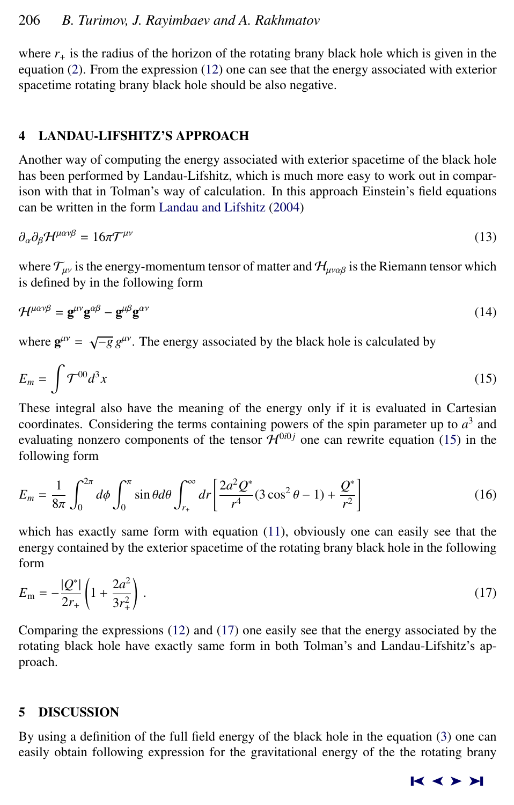where  $r_{+}$  is the radius of the horizon of the rotating brany black hole which is given in the equation [\(2\)](#page-1-0). From the expression [\(12\)](#page-4-0) one can see that the energy associated with exterior spacetime rotating brany black hole should be also negative.

# 4 LANDAU-LIFSHITZ'S APPROACH

Another way of computing the energy associated with exterior spacetime of the black hole has been performed by Landau-Lifshitz, which is much more easy to work out in comparison with that in Tolman's way of calculation. In this approach Einstein's field equations can be written in the form [Landau and Lifshitz](#page-8-0) [\(2004\)](#page-8-0)

$$
\partial_{\alpha}\partial_{\beta}\mathcal{H}^{\mu\alpha\nu\beta} = 16\pi\mathcal{T}^{\mu\nu} \tag{13}
$$

where  $\mathcal{T}_{\mu\nu}$  is the energy-momentum tensor of matter and  $\mathcal{H}_{\mu\nu\alpha\beta}$  is the Riemann tensor which is defined by in the following form

$$
\mathcal{H}^{\mu\alpha\nu\beta} = \mathbf{g}^{\mu\nu}\mathbf{g}^{\alpha\beta} - \mathbf{g}^{\mu\beta}\mathbf{g}^{\alpha\nu} \tag{14}
$$

where  $\mathbf{g}^{\mu\nu} = \sqrt{-g} g^{\mu\nu}$ . The energy associated by the black hole is calculated by

$$
E_m = \int \mathcal{T}^{00} d^3x \tag{15}
$$

These integral also have the meaning of the energy only if it is evaluated in Cartesian coordinates. Considering the terms containing powers of the spin parameter up to  $a<sup>3</sup>$  and evaluating nonzero components of the tensor  $\mathcal{H}^{0i0j}$  one can rewrite equation (15) in the following form

$$
E_m = \frac{1}{8\pi} \int_0^{2\pi} d\phi \int_0^{\pi} \sin\theta d\theta \int_{r_+}^{\infty} dr \left[ \frac{2a^2 Q^*}{r^4} (3\cos^2\theta - 1) + \frac{Q^*}{r^2} \right]
$$
(16)

which has exactly same form with equation [\(11\)](#page-4-0), obviously one can easily see that the energy contained by the exterior spacetime of the rotating brany black hole in the following form

$$
E_{\rm m} = -\frac{|Q^*|}{2r_+} \left( 1 + \frac{2a^2}{3r_+^2} \right) \,. \tag{17}
$$

Comparing the expressions [\(12\)](#page-4-0) and (17) one easily see that the energy associated by the rotating black hole have exactly same form in both Tolman's and Landau-Lifshitz's approach.

# 5 DISCUSSION

By using a definition of the full field energy of the black hole in the equation [\(3\)](#page-2-0) one can easily obtain following expression for the gravitational energy of the the rotating brany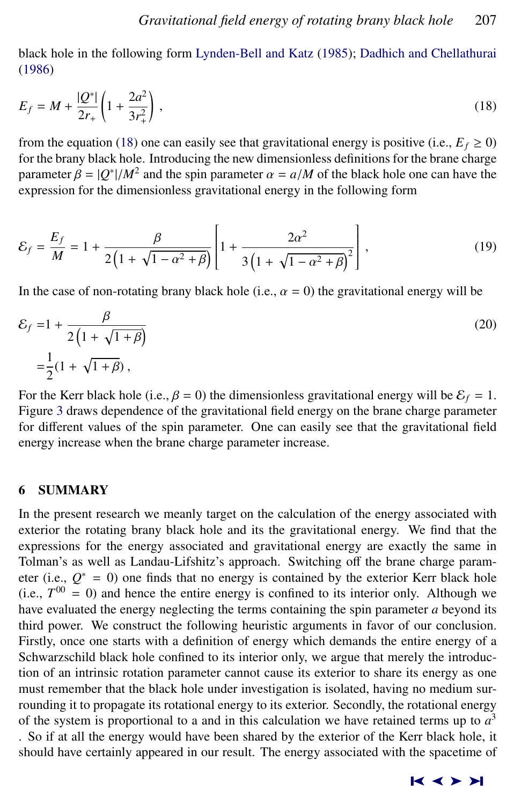black hole in the following form [Lynden-Bell and Katz](#page-8-0) [\(1985\)](#page-8-0); [Dadhich and Chellathurai](#page-7-0) [\(1986\)](#page-7-0)

$$
E_f = M + \frac{|Q^*|}{2r_+} \left( 1 + \frac{2a^2}{3r_+^2} \right),\tag{18}
$$

from the equation (18) one can easily see that gravitational energy is positive (i.e.,  $E_f \ge 0$ ) for the brany black hole. Introducing the new dimensionless definitions for the brane charge parameter  $\beta = |Q^*|/M^2$  and the spin parameter  $\alpha = a/M$  of the black hole one can have the expression for the dimensionless gravitational energy in the following form expression for the dimensionless gravitational energy in the following form

$$
\mathcal{E}_f = \frac{E_f}{M} = 1 + \frac{\beta}{2\left(1 + \sqrt{1 - \alpha^2 + \beta}\right)} \left[1 + \frac{2\alpha^2}{3\left(1 + \sqrt{1 - \alpha^2 + \beta}\right)^2}\right],\tag{19}
$$

In the case of non-rotating brany black hole (i.e.,  $\alpha = 0$ ) the gravitational energy will be

$$
\mathcal{E}_f = 1 + \frac{\beta}{2\left(1 + \sqrt{1 + \beta}\right)}
$$
  
=  $\frac{1}{2}(1 + \sqrt{1 + \beta})$ , (20)

For the Kerr black hole (i.e.,  $\beta = 0$ ) the dimensionless gravitational energy will be  $\mathcal{E}_f = 1$ . Figure [3](#page-7-0) draws dependence of the gravitational field energy on the brane charge parameter for different values of the spin parameter. One can easily see that the gravitational field energy increase when the brane charge parameter increase.

# 6 SUMMARY

In the present research we meanly target on the calculation of the energy associated with exterior the rotating brany black hole and its the gravitational energy. We find that the expressions for the energy associated and gravitational energy are exactly the same in Tolman's as well as Landau-Lifshitz's approach. Switching off the brane charge parameter (i.e.,  $Q^* = 0$ ) one finds that no energy is contained by the exterior Kerr black hole (i.e.,  $T^{00} = 0$ ) and hence the entire energy is confined to its interior only. Although we have evaluated the energy neglecting the terms containing the spin parameter *a* beyond its third power. We construct the following heuristic arguments in favor of our conclusion. Firstly, once one starts with a definition of energy which demands the entire energy of a Schwarzschild black hole confined to its interior only, we argue that merely the introduction of an intrinsic rotation parameter cannot cause its exterior to share its energy as one must remember that the black hole under investigation is isolated, having no medium surrounding it to propagate its rotational energy to its exterior. Secondly, the rotational energy of the system is proportional to a and in this calculation we have retained terms up to  $a<sup>3</sup>$ 

. So if at all the energy would have been shared by the exterior of the Kerr black hole, it should have certainly appeared in our result. The energy associated with the spacetime of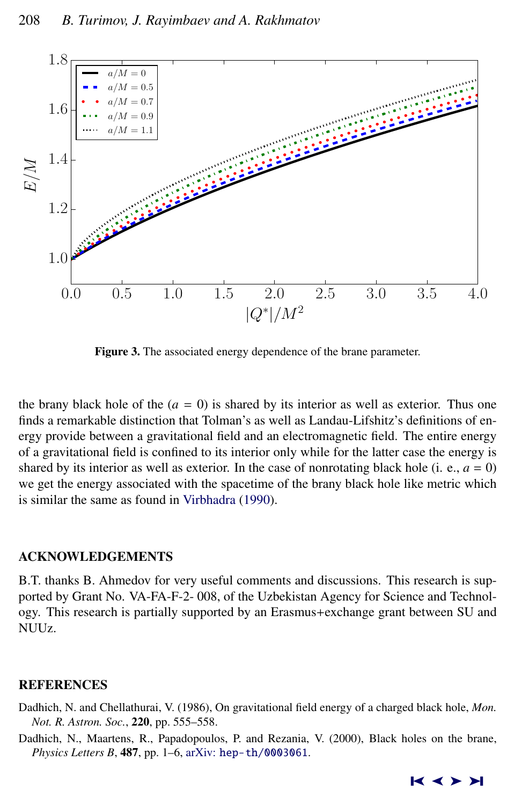<span id="page-7-0"></span>

Figure 3. The associated energy dependence of the brane parameter.

the brany black hole of the  $(a = 0)$  is shared by its interior as well as exterior. Thus one finds a remarkable distinction that Tolman's as well as Landau-Lifshitz's definitions of energy provide between a gravitational field and an electromagnetic field. The entire energy of a gravitational field is confined to its interior only while for the latter case the energy is shared by its interior as well as exterior. In the case of nonrotating black hole (i. e.,  $a = 0$ ) we get the energy associated with the spacetime of the brany black hole like metric which is similar the same as found in [Virbhadra](#page-8-0) [\(1990\)](#page-8-0).

# ACKNOWLEDGEMENTS

B.T. thanks B. Ahmedov for very useful comments and discussions. This research is supported by Grant No. VA-FA-F-2- 008, of the Uzbekistan Agency for Science and Technology. This research is partially supported by an Erasmus+exchange grant between SU and NUU<sub>Z</sub>

# **REFERENCES**

- Dadhich, N. and Chellathurai, V. (1986), On gravitational field energy of a charged black hole, *Mon. Not. R. Astron. Soc.*, 220, pp. 555–558.
- Dadhich, N., Maartens, R., Papadopoulos, P. and Rezania, V. (2000), Black holes on the brane, *Physics Letters B*, 487, pp. 1–6, arXiv: [hep-th/0003061](http://www.arxiv.org/abs/hep-th/0003061).